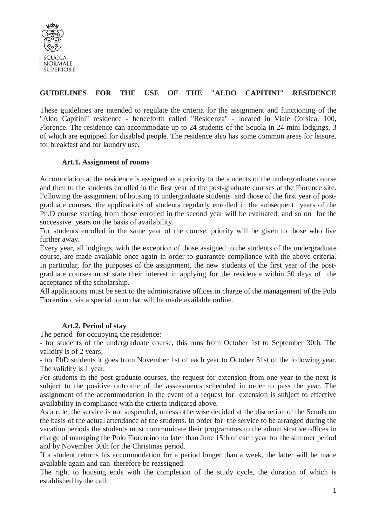

# **GUIDELINES FOR THE USE OF THE "ALDO CAPITINI" RESIDENCE**

These guidelines are intended to regulate the criteria for the assignment and functioning of the "Aldo Capitini" residence - henceforth called "Residenza" - located in Viale Corsica, 100, Florence. The residence can accommodate up to 24 students of the Scuola in 24 mini-lodgings, 3 of which are equipped for disabled people. The residence also has some common areas for leisure, for breakfast and for laundry use.

#### **Art.1. Assignment of rooms**

Accomodation at the residence is assigned as a priority to the students of the undergraduate course and then to the students enrolled in the first year of the post-graduate courses at the Florence site. Following the assignment of housing to undergraduate students and those of the first year of postgraduate courses, the applications of students regularly enrolled in the subsequent years of the Ph.D course starting from those enrolled in the second year will be evaluated, and so on for the successive years on the basis of availability.

For students enrolled in the same year of the course, priority will be given to those who live further away.

Every year, all lodgings, with the exception of those assigned to the students of the undergraduate course, are made available once again in order to guarantee compliance with the above criteria. In particular, for the purposes of the assignment, the new students of the first year of the postgraduate courses must state their interest in applying for the residence within 30 days of the acceptance of the scholarship.

All applications must be sent to the administrative offices in charge of the management of the Polo Fiorentino, via a special form that will be made available online.

# **Art.2. Period of stay**

The period for occupying the residence:

- for students of the undergraduate course, this runs from October 1st to September 30th. The validity is of 2 years;

- for PhD students it goes from November 1st of each year to October 31st of the following year. The validity is 1 year.

For students in the post-graduate courses, the request for extension from one year to the next is subject to the positive outcome of the assessments scheduled in order to pass the year. The assignment of the accommodation in the event of a request for extension is subject to effective availability in compliance with the criteria indicated above.

As a rule, the service is not suspended, unless otherwise decided at the discretion of the Scuola on the basis of the actual attendance of the students. In order for the service to be arranged during the vacation periods the students must communicate their programmes to the administrative offices in charge of managing the Polo Fiorentino no later than June 15th of each year for the summer period and by November 30th for the Christmas period.

If a student returns his accommodation for a period longer than a week, the latter will be made available again and can therefore be reassigned.

The right to housing ends with the completion of the study cycle, the duration of which is established by the call.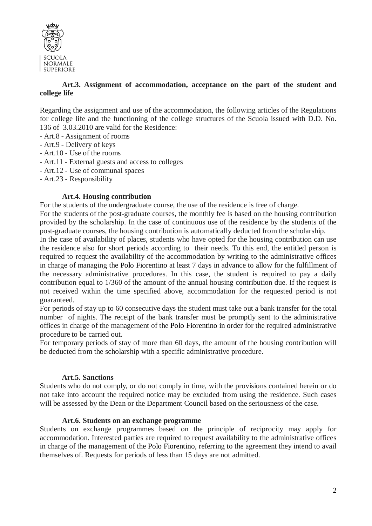

# **Art.3. Assignment of accommodation, acceptance on the part of the student and college life**

Regarding the assignment and use of the accommodation, the following articles of the Regulations for college life and the functioning of the college structures of the Scuola issued with D.D. No. 136 of 3.03.2010 are valid for the Residence:

- Art.8 Assignment of rooms
- Art.9 Delivery of keys
- Art.10 Use of the rooms
- Art.11 External guests and access to colleges
- Art.12 Use of communal spaces
- Art.23 Responsibility

#### **Art.4. Housing contribution**

For the students of the undergraduate course, the use of the residence is free of charge.

For the students of the post-graduate courses, the monthly fee is based on the housing contribution provided by the scholarship. In the case of continuous use of the residence by the students of the post-graduate courses, the housing contribution is automatically deducted from the scholarship.

In the case of availability of places, students who have opted for the housing contribution can use the residence also for short periods according to their needs. To this end, the entitled person is required to request the availability of the accommodation by writing to the administrative offices in charge of managing the Polo Fiorentino at least 7 days in advance to allow for the fulfillment of the necessary administrative procedures. In this case, the student is required to pay a daily contribution equal to 1/360 of the amount of the annual housing contribution due. If the request is not received within the time specified above, accommodation for the requested period is not guaranteed.

For periods of stay up to 60 consecutive days the student must take out a bank transfer for the total number of nights. The receipt of the bank transfer must be promptly sent to the administrative offices in charge of the management of the Polo Fiorentino in order for the required administrative procedure to be carried out.

For temporary periods of stay of more than 60 days, the amount of the housing contribution will be deducted from the scholarship with a specific administrative procedure.

#### **Art.5. Sanctions**

Students who do not comply, or do not comply in time, with the provisions contained herein or do not take into account the required notice may be excluded from using the residence. Such cases will be assessed by the Dean or the Department Council based on the seriousness of the case.

#### **Art.6. Students on an exchange programme**

Students on exchange programmes based on the principle of reciprocity may apply for accommodation. Interested parties are required to request availability to the administrative offices in charge of the management of the Polo Fiorentino, referring to the agreement they intend to avail themselves of. Requests for periods of less than 15 days are not admitted.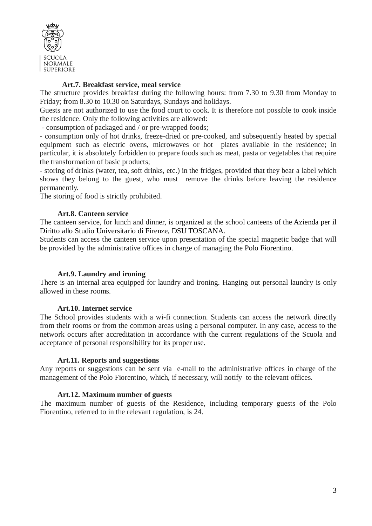

# **Art.7. Breakfast service, meal service**

The structure provides breakfast during the following hours: from 7.30 to 9.30 from Monday to Friday; from 8.30 to 10.30 on Saturdays, Sundays and holidays.

Guests are not authorized to use the food court to cook. It is therefore not possible to cook inside the residence. Only the following activities are allowed:

- consumption of packaged and / or pre-wrapped foods;

- consumption only of hot drinks, freeze-dried or pre-cooked, and subsequently heated by special equipment such as electric ovens, microwaves or hot plates available in the residence; in particular, it is absolutely forbidden to prepare foods such as meat, pasta or vegetables that require the transformation of basic products;

- storing of drinks (water, tea, soft drinks, etc.) in the fridges, provided that they bear a label which shows they belong to the guest, who must remove the drinks before leaving the residence permanently.

The storing of food is strictly prohibited.

#### **Art.8. Canteen service**

The canteen service, for lunch and dinner, is organized at the school canteens of the Azienda per il Diritto allo Studio Universitario di Firenze, DSU TOSCANA.

Students can access the canteen service upon presentation of the special magnetic badge that will be provided by the administrative offices in charge of managing the Polo Fiorentino.

#### **Art.9. Laundry and ironing**

There is an internal area equipped for laundry and ironing. Hanging out personal laundry is only allowed in these rooms.

#### **Art.10. Internet service**

The School provides students with a wi-fi connection. Students can access the network directly from their rooms or from the common areas using a personal computer. In any case, access to the network occurs after accreditation in accordance with the current regulations of the Scuola and acceptance of personal responsibility for its proper use.

#### **Art.11. Reports and suggestions**

Any reports or suggestions can be sent via e-mail to the administrative offices in charge of the management of the Polo Fiorentino, which, if necessary, will notify to the relevant offices.

#### **Art.12. Maximum number of guests**

The maximum number of guests of the Residence, including temporary guests of the Polo Fiorentino, referred to in the relevant regulation, is 24.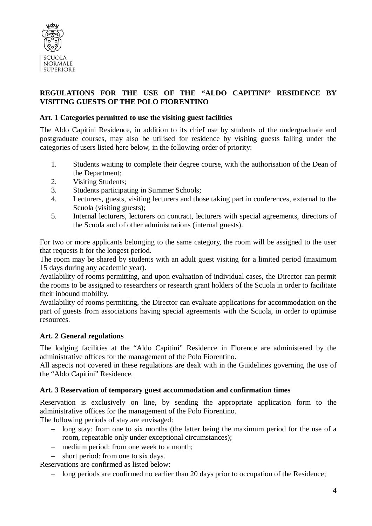

# **REGULATIONS FOR THE USE OF THE "ALDO CAPITINI" RESIDENCE BY VISITING GUESTS OF THE POLO FIORENTINO**

# **Art. 1 Categories permitted to use the visiting guest facilities**

The Aldo Capitini Residence, in addition to its chief use by students of the undergraduate and postgraduate courses, may also be utilised for residence by visiting guests falling under the categories of users listed here below, in the following order of priority:

- 1. Students waiting to complete their degree course, with the authorisation of the Dean of the Department;
- 2. Visiting Students;
- 3. Students participating in Summer Schools;
- 4. Lecturers, guests, visiting lecturers and those taking part in conferences, external to the Scuola (visiting guests);
- 5. Internal lecturers, lecturers on contract, lecturers with special agreements, directors of the Scuola and of other administrations (internal guests).

For two or more applicants belonging to the same category, the room will be assigned to the user that requests it for the longest period.

The room may be shared by students with an adult guest visiting for a limited period (maximum 15 days during any academic year).

Availability of rooms permitting, and upon evaluation of individual cases, the Director can permit the rooms to be assigned to researchers or research grant holders of the Scuola in order to facilitate their inbound mobility.

Availability of rooms permitting, the Director can evaluate applications for accommodation on the part of guests from associations having special agreements with the Scuola, in order to optimise resources.

# **Art. 2 General regulations**

The lodging facilities at the "Aldo Capitini" Residence in Florence are administered by the administrative offices for the management of the Polo Fiorentino.

All aspects not covered in these regulations are dealt with in the Guidelines governing the use of the "Aldo Capitini" Residence.

# **Art. 3 Reservation of temporary guest accommodation and confirmation times**

Reservation is exclusively on line, by sending the appropriate application form to the administrative offices for the management of the Polo Fiorentino.

The following periods of stay are envisaged:

- − long stay: from one to six months (the latter being the maximum period for the use of a room, repeatable only under exceptional circumstances);
- − medium period: from one week to a month;
- short period: from one to six days.

Reservations are confirmed as listed below:

− long periods are confirmed no earlier than 20 days prior to occupation of the Residence;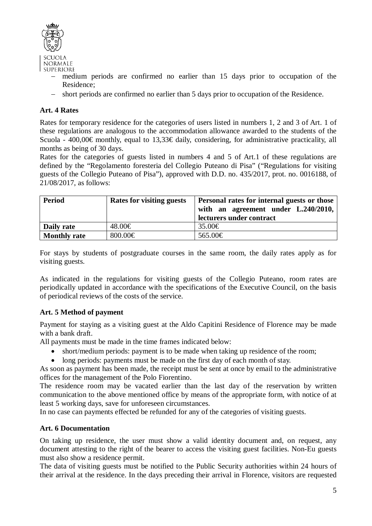

- − medium periods are confirmed no earlier than 15 days prior to occupation of the Residence;
- − short periods are confirmed no earlier than 5 days prior to occupation of the Residence.

# **Art. 4 Rates**

Rates for temporary residence for the categories of users listed in numbers 1, 2 and 3 of Art. 1 of these regulations are analogous to the accommodation allowance awarded to the students of the Scuola - 400,00€ monthly, equal to 13,33€ daily, considering, for administrative practicality, all months as being of 30 days.

Rates for the categories of guests listed in numbers 4 and 5 of Art.1 of these regulations are defined by the "Regolamento foresteria del Collegio Puteano di Pisa" ("Regulations for visiting guests of the Collegio Puteano of Pisa"), approved with D.D. no. 435/2017, prot. no. 0016188, of 21/08/2017, as follows:

| <b>Period</b>       | <b>Rates for visiting guests</b> | Personal rates for internal guests or those<br>with an agreement under L.240/2010,<br>lecturers under contract |
|---------------------|----------------------------------|----------------------------------------------------------------------------------------------------------------|
| Daily rate          | 48.00€                           | $35.00 \in$                                                                                                    |
| <b>Monthly rate</b> | 800.00 $\in$                     | 565.00€                                                                                                        |

For stays by students of postgraduate courses in the same room, the daily rates apply as for visiting guests.

As indicated in the regulations for visiting guests of the Collegio Puteano, room rates are periodically updated in accordance with the specifications of the Executive Council, on the basis of periodical reviews of the costs of the service.

# **Art. 5 Method of payment**

Payment for staying as a visiting guest at the Aldo Capitini Residence of Florence may be made with a bank draft.

All payments must be made in the time frames indicated below:

- short/medium periods: payment is to be made when taking up residence of the room;
- long periods: payments must be made on the first day of each month of stay.

As soon as payment has been made, the receipt must be sent at once by email to the administrative offices for the management of the Polo Fiorentino.

The residence room may be vacated earlier than the last day of the reservation by written communication to the above mentioned office by means of the appropriate form, with notice of at least 5 working days, save for unforeseen circumstances.

In no case can payments effected be refunded for any of the categories of visiting guests.

# **Art. 6 Documentation**

On taking up residence, the user must show a valid identity document and, on request, any document attesting to the right of the bearer to access the visiting guest facilities. Non-Eu guests must also show a residence permit.

The data of visiting guests must be notified to the Public Security authorities within 24 hours of their arrival at the residence. In the days preceding their arrival in Florence, visitors are requested